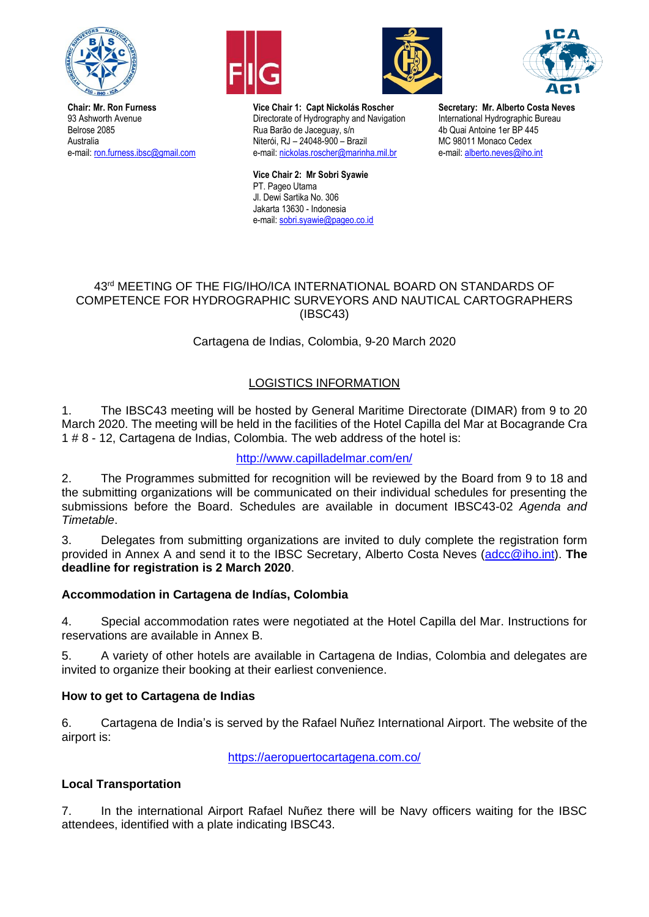

**Chair: Mr. Ron Furness** 93 Ashworth Avenue Belrose 2085 Australia e-mail: [ron.furness.ibsc@gmail.com](mailto:ron.furness.ibsc@gmail.com)







**Vice Chair 1: Capt Nickolás Roscher** Directorate of Hydrography and Navigation Rua Barão de Jaceguay, s/n Niterói, RJ – 24048-900 – Brazil e-mail[: nickolas.roscher@marinha.mil.br](mailto:nickolas.roscher@marinha.mil.br)

**Vice Chair 2: Mr Sobri Syawie** PT. Pageo Utama Jl. Dewi Sartika No. 306 Jakarta 13630 - Indonesia e-mail[: sobri.syawie@pageo.co.id](mailto:sobri.syawie@pageo.co.id)

**Secretary: Mr. Alberto Costa Neves** International Hydrographic Bureau 4b Quai Antoine 1er BP 445 MC 98011 Monaco Cedex e-mail[: alberto.neves@iho.int](mailto:alberto.neves@iho.int)

## 43<sup>rd</sup> MEETING OF THE FIG/IHO/ICA INTERNATIONAL BOARD ON STANDARDS OF COMPETENCE FOR HYDROGRAPHIC SURVEYORS AND NAUTICAL CARTOGRAPHERS (IBSC43)

# Cartagena de Indias, Colombia, 9-20 March 2020

# LOGISTICS INFORMATION

1. The IBSC43 meeting will be hosted by General Maritime Directorate (DIMAR) from 9 to 20 March 2020. The meeting will be held in the facilities of the Hotel Capilla del Mar at Bocagrande Cra 1 # 8 - 12, Cartagena de Indias, Colombia. The web address of the hotel is:

<http://www.capilladelmar.com/en/>

2. The Programmes submitted for recognition will be reviewed by the Board from 9 to 18 and the submitting organizations will be communicated on their individual schedules for presenting the submissions before the Board. Schedules are available in document IBSC43-02 *Agenda and Timetable*.

3. Delegates from submitting organizations are invited to duly complete the registration form provided in Annex A and send it to the IBSC Secretary, Alberto Costa Neves [\(adcc@iho.int\)](mailto:adcc@iho.int). **The deadline for registration is 2 March 2020**.

## **Accommodation in Cartagena de Indías, Colombia**

4. Special accommodation rates were negotiated at the Hotel Capilla del Mar. Instructions for reservations are available in Annex B.

5. A variety of other hotels are available in Cartagena de Indias, Colombia and delegates are invited to organize their booking at their earliest convenience.

## **How to get to Cartagena de Indias**

6. Cartagena de India's is served by the Rafael Nuñez International Airport. The website of the airport is:

<https://aeropuertocartagena.com.co/>

## **Local Transportation**

7. In the international Airport Rafael Nuñez there will be Navy officers waiting for the IBSC attendees, identified with a plate indicating IBSC43.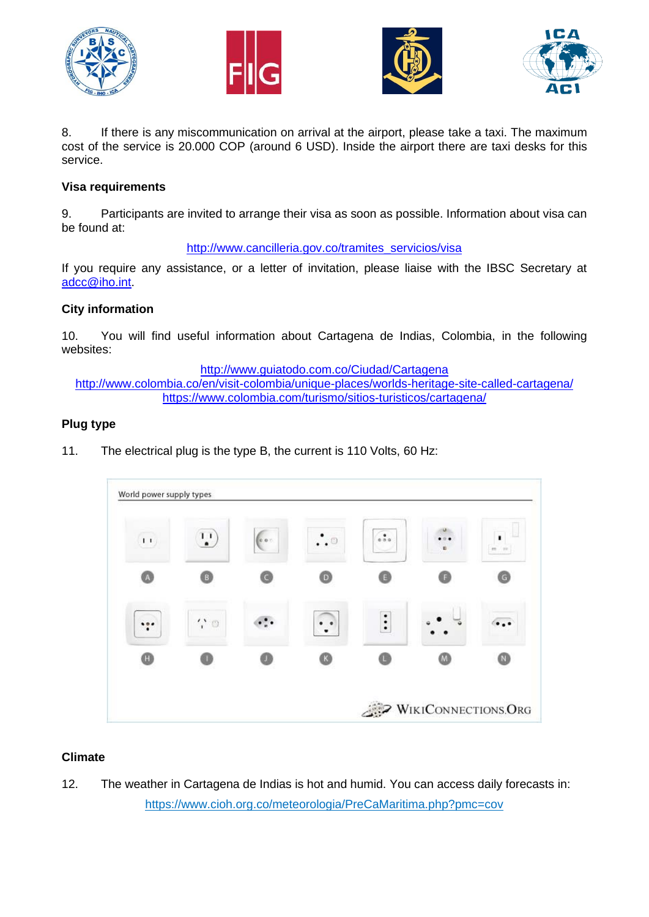







8. If there is any miscommunication on arrival at the airport, please take a taxi. The maximum cost of the service is 20.000 COP (around 6 USD). Inside the airport there are taxi desks for this service.

## **Visa requirements**

9. Participants are invited to arrange their visa as soon as possible. Information about visa can be found at:

[http://www.cancilleria.gov.co/tramites\\_servicios/visa](http://www.cancilleria.gov.co/tramites_servicios/visa)

If you require any assistance, or a letter of invitation, please liaise with the IBSC Secretary at [adcc@iho.int.](mailto:adcc@iho.int)

## **City information**

10. You will find useful information about Cartagena de Indias, Colombia, in the following websites:

<http://www.guiatodo.com.co/Ciudad/Cartagena>

<http://www.colombia.co/en/visit-colombia/unique-places/worlds-heritage-site-called-cartagena/> <https://www.colombia.com/turismo/sitios-turisticos/cartagena/>

## **Plug type**

11. The electrical plug is the type B, the current is 110 Volts, 60 Hz:



#### **Climate**

12. The weather in Cartagena de Indias is hot and humid. You can access daily forecasts in: <https://www.cioh.org.co/meteorologia/PreCaMaritima.php?pmc=cov>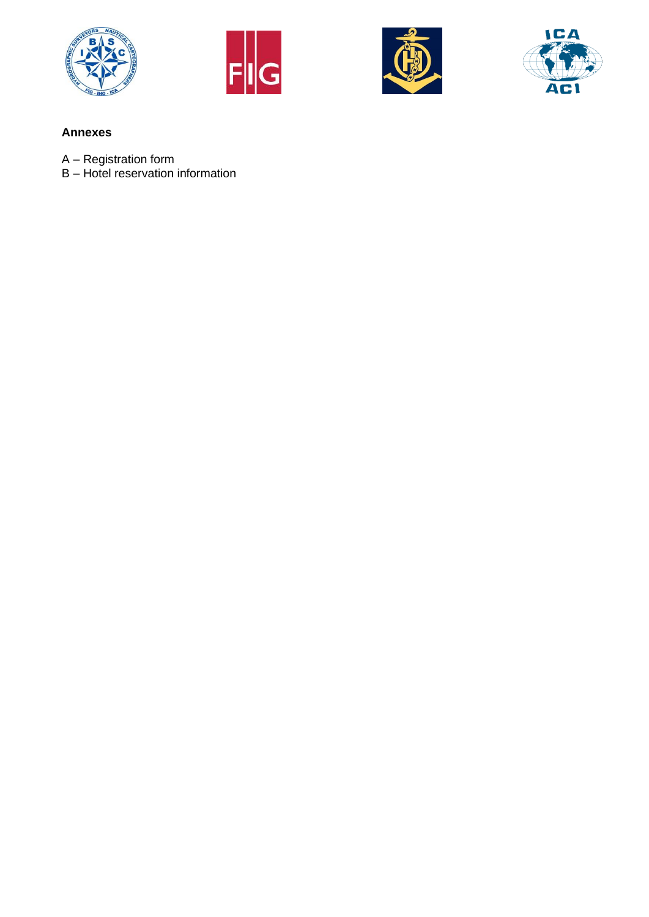







### **Annexes**

- A Registration form
- B Hotel reservation information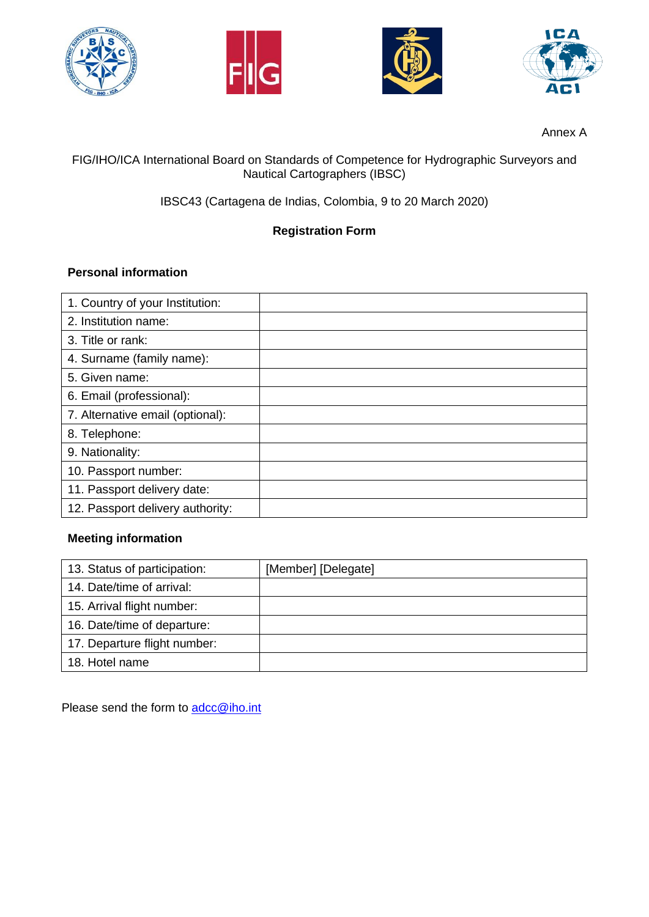







Annex A

# FIG/IHO/ICA International Board on Standards of Competence for Hydrographic Surveyors and Nautical Cartographers (IBSC)

IBSC43 (Cartagena de Indias, Colombia, 9 to 20 March 2020)

# **Registration Form**

# **Personal information**

| 1. Country of your Institution:  |  |
|----------------------------------|--|
| 2. Institution name:             |  |
| 3. Title or rank:                |  |
| 4. Surname (family name):        |  |
| 5. Given name:                   |  |
| 6. Email (professional):         |  |
| 7. Alternative email (optional): |  |
| 8. Telephone:                    |  |
| 9. Nationality:                  |  |
| 10. Passport number:             |  |
| 11. Passport delivery date:      |  |
| 12. Passport delivery authority: |  |

# **Meeting information**

| 13. Status of participation: | [Member] [Delegate] |
|------------------------------|---------------------|
| 14. Date/time of arrival:    |                     |
| 15. Arrival flight number:   |                     |
| 16. Date/time of departure:  |                     |
| 17. Departure flight number: |                     |
| 18. Hotel name               |                     |

Please send the form to [adcc@iho.int](mailto:adcc@iho.int)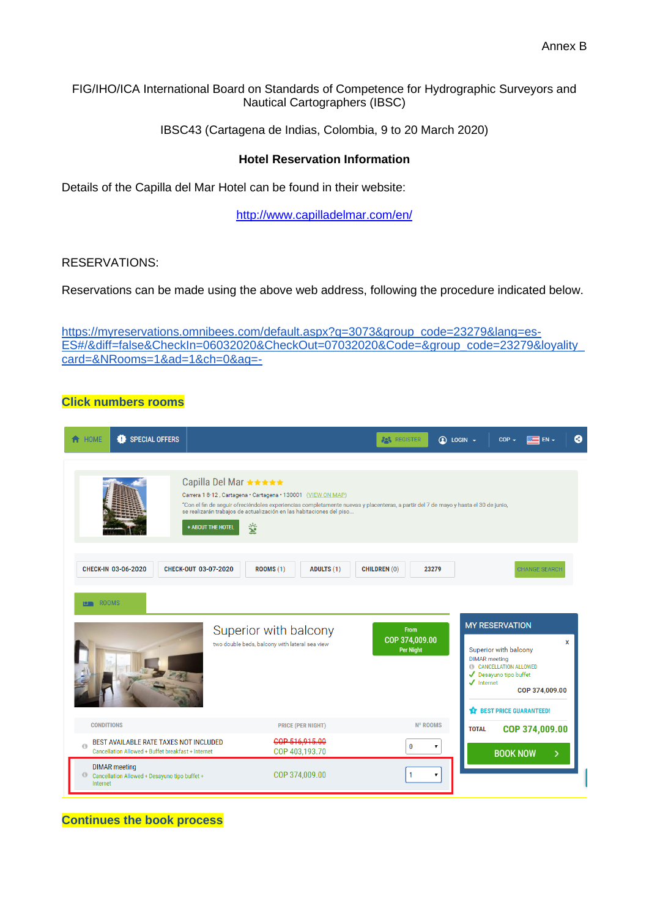FIG/IHO/ICA International Board on Standards of Competence for Hydrographic Surveyors and Nautical Cartographers (IBSC)

IBSC43 (Cartagena de Indias, Colombia, 9 to 20 March 2020)

#### **Hotel Reservation Information**

Details of the Capilla del Mar Hotel can be found in their website:

<http://www.capilladelmar.com/en/>

#### RESERVATIONS:

Reservations can be made using the above web address, following the procedure indicated below.

[https://myreservations.omnibees.com/default.aspx?q=3073&group\\_code=23279&lang=es-](https://myreservations.omnibees.com/default.aspx?q=3073&group_code=23279&lang=es-ES#/&diff=false&CheckIn=06032020&CheckOut=07032020&Code=&group_code=23279&loyality_card=&NRooms=1&ad=1&ch=0&ag=-)[ES#/&diff=false&CheckIn=06032020&CheckOut=07032020&Code=&group\\_code=23279&loyality\\_](https://myreservations.omnibees.com/default.aspx?q=3073&group_code=23279&lang=es-ES#/&diff=false&CheckIn=06032020&CheckOut=07032020&Code=&group_code=23279&loyality_card=&NRooms=1&ad=1&ch=0&ag=-) [card=&NRooms=1&ad=1&ch=0&ag=-](https://myreservations.omnibees.com/default.aspx?q=3073&group_code=23279&lang=es-ES#/&diff=false&CheckIn=06032020&CheckOut=07032020&Code=&group_code=23279&loyality_card=&NRooms=1&ad=1&ch=0&ag=-)

#### **Click numbers rooms**

| <b>SPECIAL OFFERS</b><br><b>A</b> HOME<br>a                                                       |                                                                                                                                                                                                                                                                                                                                | <b>AN REGISTER</b><br>$\circledR$ LOGIN $\sim$    | ❸<br>$COP -$<br>$EN -$                                                                                                                                                                                          |
|---------------------------------------------------------------------------------------------------|--------------------------------------------------------------------------------------------------------------------------------------------------------------------------------------------------------------------------------------------------------------------------------------------------------------------------------|---------------------------------------------------|-----------------------------------------------------------------------------------------------------------------------------------------------------------------------------------------------------------------|
|                                                                                                   | Capilla Del Mar ★★★★★<br>Carrera 1 8-12, Cartagena · Cartagena · 130001 (VIEW ON MAP)<br>"Con el fin de seguir ofreciéndoles experiencias completamente nuevas y placenteras, a partir del 7 de mayo y hasta el 30 de junio,<br>se realizarán trabajos de actualización en las habitaciones del piso<br>釜<br>+ ABOUT THE HOTEL |                                                   |                                                                                                                                                                                                                 |
| <b>CHECK-IN 03-06-2020</b>                                                                        | CHECK-OUT 03-07-2020<br><b>ROOMS (1)</b><br><b>ADULTS (1)</b>                                                                                                                                                                                                                                                                  | <b>CHILDREN (0)</b><br>23279                      | <b>CHANGE SEARCH</b>                                                                                                                                                                                            |
| ROOMS<br>$\blacksquare$                                                                           | Superior with balcony<br>two double beds, balcony with lateral sea view                                                                                                                                                                                                                                                        | <b>From</b><br>COP 374,009.00<br><b>Per Night</b> | <b>MY RESERVATION</b><br>x<br>Superior with balcony<br><b>DIMAR</b> meeting<br>CANCELLATION ALLOWED<br>Desayuno tipo buffet<br>$\sqrt{\phantom{a}}$ Internet<br>COP 374,009.00<br><b>BEST PRICE GUARANTEED!</b> |
| <b>CONDITIONS</b>                                                                                 | <b>PRICE (PER NIGHT)</b>                                                                                                                                                                                                                                                                                                       | Nº ROOMS                                          | COP 374,009.00<br><b>TOTAL</b>                                                                                                                                                                                  |
| BEST AVAILABLE RATE TAXES NOT INCLUDED<br>Ò<br>Cancellation Allowed + Buffet breakfast + Internet | COP 516.915.00<br>COP 403,193.70                                                                                                                                                                                                                                                                                               | $\mathbf{0}$<br>$\pmb{\mathrm{v}}$                | <b>BOOK NOW</b><br>>                                                                                                                                                                                            |
| <b>DIMAR</b> meeting<br>Cancellation Allowed + Desayuno tipo buffet +<br>Internet                 | COP 374,009.00                                                                                                                                                                                                                                                                                                                 | $\mathbf{1}$<br>$\pmb{\mathrm{v}}$                |                                                                                                                                                                                                                 |

**Continues the book process**